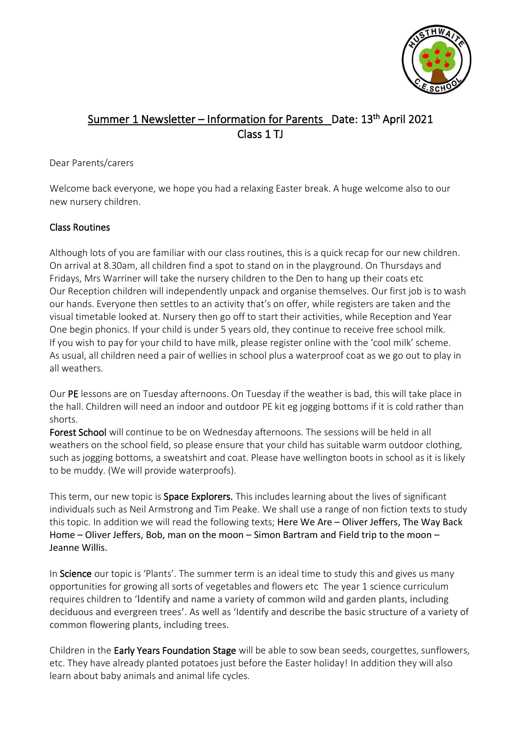

# Summer 1 Newsletter – Information for Parents Date: 13<sup>th</sup> April 2021 Class 1 TJ

#### Dear Parents/carers

Welcome back everyone, we hope you had a relaxing Easter break. A huge welcome also to our new nursery children.

## Class Routines

Although lots of you are familiar with our class routines, this is a quick recap for our new children. On arrival at 8.30am, all children find a spot to stand on in the playground. On Thursdays and Fridays, Mrs Warriner will take the nursery children to the Den to hang up their coats etc Our Reception children will independently unpack and organise themselves. Our first job is to wash our hands. Everyone then settles to an activity that's on offer, while registers are taken and the visual timetable looked at. Nursery then go off to start their activities, while Reception and Year One begin phonics. If your child is under 5 years old, they continue to receive free school milk. If you wish to pay for your child to have milk, please register online with the 'cool milk' scheme. As usual, all children need a pair of wellies in school plus a waterproof coat as we go out to play in all weathers.

Our PE lessons are on Tuesday afternoons. On Tuesday if the weather is bad, this will take place in the hall. Children will need an indoor and outdoor PE kit eg jogging bottoms if it is cold rather than shorts.

Forest School will continue to be on Wednesday afternoons. The sessions will be held in all weathers on the school field, so please ensure that your child has suitable warm outdoor clothing, such as jogging bottoms, a sweatshirt and coat. Please have wellington boots in school as it is likely to be muddy. (We will provide waterproofs).

This term, our new topic is **Space Explorers.** This includes learning about the lives of significant individuals such as Neil Armstrong and Tim Peake. We shall use a range of non fiction texts to study this topic. In addition we will read the following texts; Here We Are – Oliver Jeffers, The Way Back Home – Oliver Jeffers, Bob, man on the moon – Simon Bartram and Field trip to the moon – Jeanne Willis.

In Science our topic is 'Plants'. The summer term is an ideal time to study this and gives us many opportunities for growing all sorts of vegetables and flowers etc The year 1 science curriculum requires children to 'Identify and name a variety of common wild and garden plants, including deciduous and evergreen trees'. As well as 'Identify and describe the basic structure of a variety of common flowering plants, including trees.

Children in the Early Years Foundation Stage will be able to sow bean seeds, courgettes, sunflowers, etc. They have already planted potatoes just before the Easter holiday! In addition they will also learn about baby animals and animal life cycles.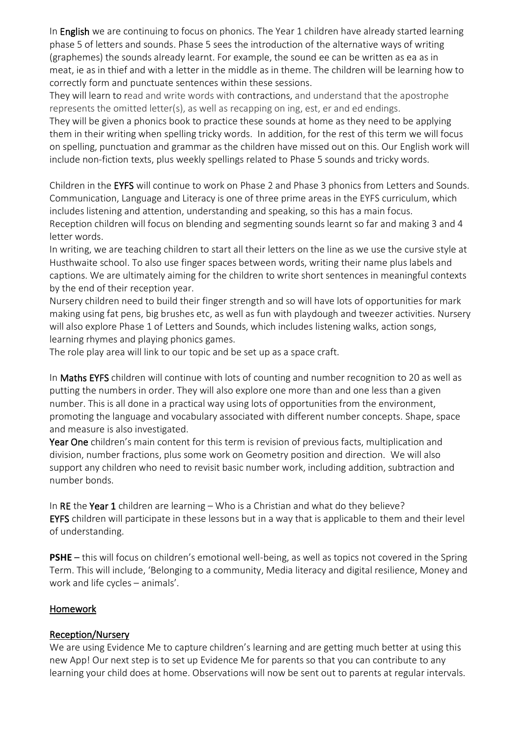In English we are continuing to focus on phonics. The Year 1 children have already started learning phase 5 of letters and sounds. Phase 5 sees the introduction of the alternative ways of writing (graphemes) the sounds already learnt. For example, the sound ee can be written as ea as in meat, ie as in thief and with a letter in the middle as in theme. The children will be learning how to correctly form and punctuate sentences within these sessions.

They will learn to read and write words with contractions, and understand that the apostrophe represents the omitted letter(s), as well as recapping on ing, est, er and ed endings.

They will be given a phonics book to practice these sounds at home as they need to be applying them in their writing when spelling tricky words. In addition, for the rest of this term we will focus on spelling, punctuation and grammar as the children have missed out on this. Our English work will include non-fiction texts, plus weekly spellings related to Phase 5 sounds and tricky words.

Children in the EYFS will continue to work on Phase 2 and Phase 3 phonics from Letters and Sounds. Communication, Language and Literacy is one of three prime areas in the EYFS curriculum, which includes listening and attention, understanding and speaking, so this has a main focus. Reception children will focus on blending and segmenting sounds learnt so far and making 3 and 4 letter words.

In writing, we are teaching children to start all their letters on the line as we use the cursive style at Husthwaite school. To also use finger spaces between words, writing their name plus labels and captions. We are ultimately aiming for the children to write short sentences in meaningful contexts by the end of their reception year.

Nursery children need to build their finger strength and so will have lots of opportunities for mark making using fat pens, big brushes etc, as well as fun with playdough and tweezer activities. Nursery will also explore Phase 1 of Letters and Sounds, which includes listening walks, action songs, learning rhymes and playing phonics games.

The role play area will link to our topic and be set up as a space craft.

In Maths EYFS children will continue with lots of counting and number recognition to 20 as well as putting the numbers in order. They will also explore one more than and one less than a given number. This is all done in a practical way using lots of opportunities from the environment, promoting the language and vocabulary associated with different number concepts. Shape, space and measure is also investigated.

Year One children's main content for this term is revision of previous facts, multiplication and division, number fractions, plus some work on Geometry position and direction. We will also support any children who need to revisit basic number work, including addition, subtraction and number bonds.

In RE the Year 1 children are learning – Who is a Christian and what do they believe? EYFS children will participate in these lessons but in a way that is applicable to them and their level of understanding.

**PSHE** – this will focus on children's emotional well-being, as well as topics not covered in the Spring Term. This will include, 'Belonging to a community, Media literacy and digital resilience, Money and work and life cycles – animals'.

#### Homework

#### Reception/Nursery

We are using Evidence Me to capture children's learning and are getting much better at using this new App! Our next step is to set up Evidence Me for parents so that you can contribute to any learning your child does at home. Observations will now be sent out to parents at regular intervals.